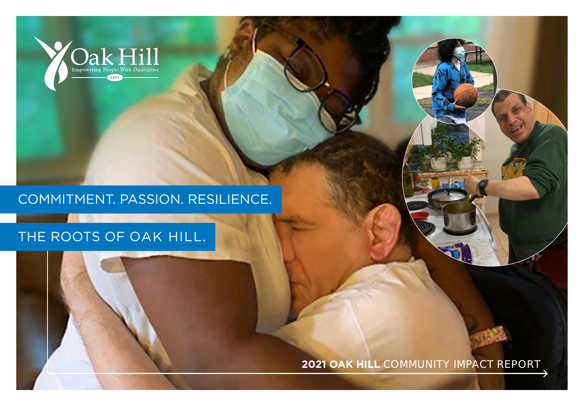

## COMMITMENT. PASSION. RESILIENCE.

# THE ROOTS OF OAK HILL.

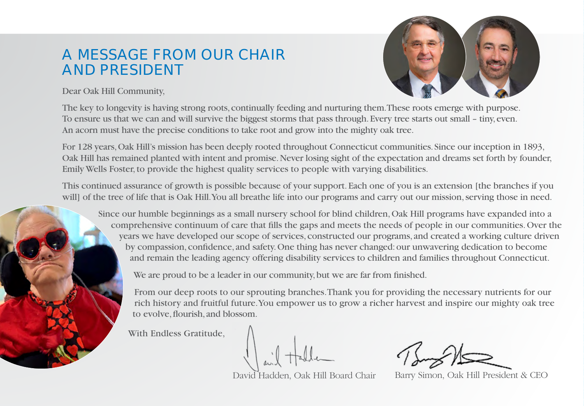# A MESSAGE FROM OUR CHAIR AND PRESIDENT



Dear Oak Hill Community,

The key to longevity is having strong roots, continually feeding and nurturing them. These roots emerge with purpose. To ensure us that we can and will survive the biggest storms that pass through. Every tree starts out small – tiny, even. An acorn must have the precise conditions to take root and grow into the mighty oak tree.

For 128 years, Oak Hill's mission has been deeply rooted throughout Connecticut communities. Since our inception in 1893, Oak Hill has remained planted with intent and promise. Never losing sight of the expectation and dreams set forth by founder, Emily Wells Foster, to provide the highest quality services to people with varying disabilities.

This continued assurance of growth is possible because of your support. Each one of you is an extension [the branches if you will] of the tree of life that is Oak Hill. You all breathe life into our programs and carry out our mission, serving those in need.

Since our humble beginnings as a small nursery school for blind children, Oak Hill programs have expanded into a comprehensive continuum of care that fills the gaps and meets the needs of people in our communities. Over the years we have developed our scope of services, constructed our programs, and created a working culture driven by compassion, confidence, and safety. One thing has never changed: our unwavering dedication to become and remain the leading agency offering disability services to children and families throughout Connecticut.

We are proud to be a leader in our community, but we are far from finished.

From our deep roots to our sprouting branches. Thank you for providing the necessary nutrients for our rich history and fruitful future. You empower us to grow a richer harvest and inspire our mighty oak tree to evolve, flourish, and blossom.

With Endless Gratitude,

David Hadden, Oak Hill Board Chair Barry Simon, Oak Hill President & CEO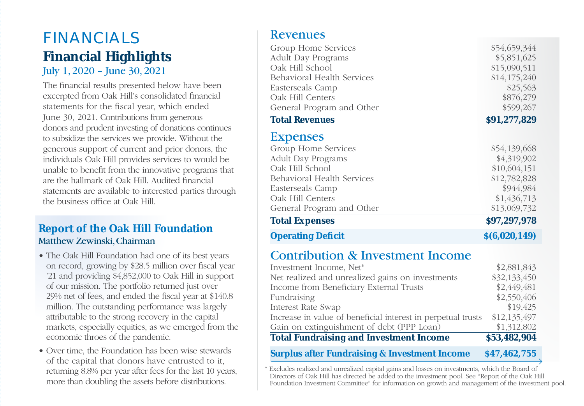# FINANCIALS **Financial Highlights** July 1, 2020 – June 30, 2021

The financial results presented below have been excerpted from Oak Hill's consolidated financial statements for the fiscal year, which ended June 30, 2021. Contributions from generous donors and prudent investing of donations continues to subsidize the services we provide. Without the generous support of current and prior donors, the individuals Oak Hill provides services to would be unable to benefit from the innovative programs that are the hallmark of Oak Hill. Audited financial statements are available to interested parties through the business office at Oak Hill.

#### **Report of the Oak Hill Foundation** Matthew Zewinski, Chairman

- The Oak Hill Foundation had one of its best years on record, growing by \$28.5 million over fiscal year '21 and providing \$4,852,000 to Oak Hill in support of our mission. The portfolio returned just over 29% net of fees, and ended the fiscal year at \$140.8 million. The outstanding performance was largely attributable to the strong recovery in the capital markets, especially equities, as we emerged from the economic throes of the pandemic.
- Over time, the Foundation has been wise stewards of the capital that donors have entrusted to it, returning 8.8% per year after fees for the last 10 years, more than doubling the assets before distributions.

### Revenues

| Group Home Services        | \$54,659,344  |
|----------------------------|---------------|
| <b>Adult Day Programs</b>  | \$5,851,625   |
| Oak Hill School            | \$15,090,511  |
| Behavioral Health Services | \$14,175,240  |
| Easterseals Camp           | \$25,563      |
| Oak Hill Centers           | \$876,279     |
| General Program and Other  | \$599,267     |
| <b>Total Revenues</b>      | \$91,277,829  |
| <b>Expenses</b>            |               |
| Group Home Services        | \$54,139,668  |
| <b>Adult Day Programs</b>  | \$4,319,902   |
| Oak Hill School            | \$10,604,151  |
| Behavioral Health Services | \$12,782,828  |
| Easterseals Camp           | \$944,984     |
| Oak Hill Centers           | \$1,436,713   |
| General Program and Other  | \$13,069,732  |
| <b>Total Expenses</b>      | \$97,297,978  |
| <b>Operating Deficit</b>   | \$(6,020,149) |
|                            |               |

## Contribution & Investment Income

| <b>Total Fundraising and Investment Income</b>               | \$53,482,904 |
|--------------------------------------------------------------|--------------|
| Gain on extinguishment of debt (PPP Loan)                    | \$1,312,802  |
| Increase in value of beneficial interest in perpetual trusts | \$12,135,497 |
| Interest Rate Swap                                           | \$19,425     |
| Fundraising                                                  | \$2,550,406  |
| Income from Beneficiary External Trusts                      | \$2,449,481  |
| Net realized and unrealized gains on investments             | \$32,133,450 |
| Investment Income, Net*                                      | \$2,881,843  |

#### **Surplus after Fundraising & Investment Income \$47,462,755**

\* Excludes realized and unrealized capital gains and losses on investments, which the Board of Directors of Oak Hill has directed be added to the investment pool. See "Report of the Oak Hill Foundation Investment Committee" for information on growth and management of the investment pool.